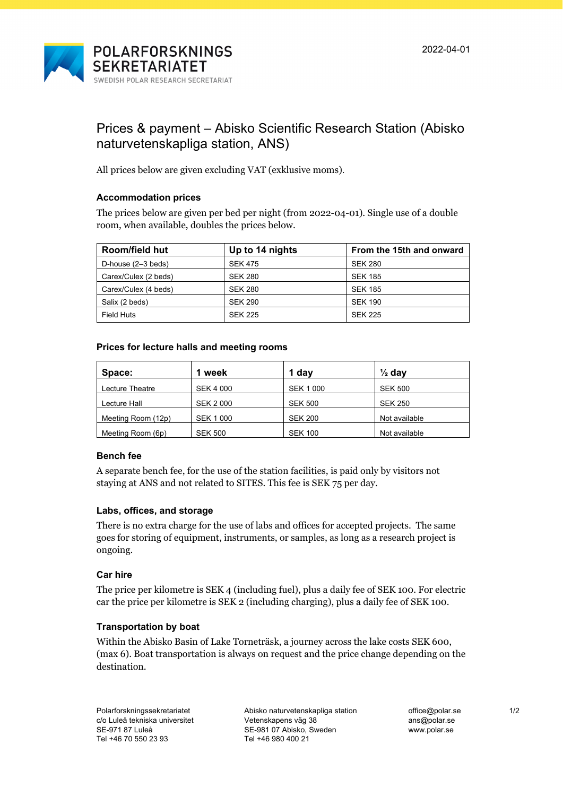



# Prices & payment – Abisko Scientific Research Station (Abisko naturvetenskapliga station, ANS)

All prices below are given excluding VAT (exklusive moms).

# **Accommodation prices**

The prices below are given per bed per night (from 2022-04-01). Single use of a double room, when available, doubles the prices below.

| <b>Room/field hut</b> | Up to 14 nights<br>From the 15th and onward |                |  |
|-----------------------|---------------------------------------------|----------------|--|
| D-house $(2-3$ beds)  | <b>SEK 475</b>                              | <b>SEK 280</b> |  |
| Carex/Culex (2 beds)  | <b>SEK 280</b>                              | <b>SEK 185</b> |  |
| Carex/Culex (4 beds)  | <b>SEK 280</b>                              | <b>SEK 185</b> |  |
| Salix (2 beds)        | <b>SEK 290</b>                              | <b>SEK 190</b> |  |
| Field Huts            | <b>SEK 225</b>                              | <b>SEK 225</b> |  |

# **Prices for lecture halls and meeting rooms**

| Space:             | 1 week           | 1 day            | $\frac{1}{2}$ day |
|--------------------|------------------|------------------|-------------------|
| Lecture Theatre    | <b>SEK 4 000</b> | <b>SEK 1 000</b> | <b>SEK 500</b>    |
| Lecture Hall       | <b>SEK 2000</b>  | <b>SEK 500</b>   | <b>SEK 250</b>    |
| Meeting Room (12p) | <b>SEK 1 000</b> | <b>SEK 200</b>   | Not available     |
| Meeting Room (6p)  | <b>SEK 500</b>   | <b>SEK 100</b>   | Not available     |

## **Bench fee**

A separate bench fee, for the use of the station facilities, is paid only by visitors not staying at ANS and not related to SITES. This fee is SEK 75 per day.

## **Labs, offices, and storage**

There is no extra charge for the use of labs and offices for accepted projects. The same goes for storing of equipment, instruments, or samples, as long as a research project is ongoing.

## **Car hire**

The price per kilometre is SEK 4 (including fuel), plus a daily fee of SEK 100. For electric car the price per kilometre is SEK 2 (including charging), plus a daily fee of SEK 100.

## **Transportation by boat**

Within the Abisko Basin of Lake Torneträsk, a journey across the lake costs SEK 600, (max 6). Boat transportation is always on request and the price change depending on the destination.

Abisko naturvetenskapliga station Vetenskapens väg 38 SE-981 07 Abisko, Sweden Tel +46 980 400 21

[office@polar.se](mailto:office@polar.se) ans@polar.se www.polar.se